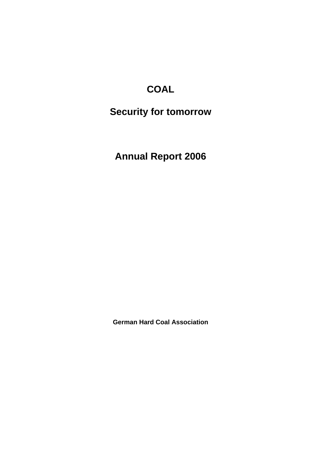# **COAL**

# **Security for tomorrow**

**Annual Report 2006** 

**German Hard Coal Association**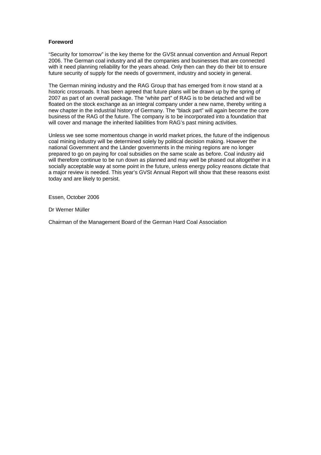#### **Foreword**

"Security for tomorrow" is the key theme for the GVSt annual convention and Annual Report 2006. The German coal industry and all the companies and businesses that are connected with it need planning reliability for the years ahead. Only then can they do their bit to ensure future security of supply for the needs of government, industry and society in general.

The German mining industry and the RAG Group that has emerged from it now stand at a historic crossroads. It has been agreed that future plans will be drawn up by the spring of 2007 as part of an overall package. The "white part" of RAG is to be detached and will be floated on the stock exchange as an integral company under a new name, thereby writing a new chapter in the industrial history of Germany. The "black part" will again become the core business of the RAG of the future. The company is to be incorporated into a foundation that will cover and manage the inherited liabilities from RAG's past mining activities.

Unless we see some momentous change in world market prices, the future of the indigenous coal mining industry will be determined solely by political decision making. However the national Government and the Länder governments in the mining regions are no longer prepared to go on paying for coal subsidies on the same scale as before. Coal industry aid will therefore continue to be run down as planned and may well be phased out altogether in a socially acceptable way at some point in the future, unless energy policy reasons dictate that a major review is needed. This year's GVSt Annual Report will show that these reasons exist today and are likely to persist.

Essen, October 2006

Dr Werner Müller

Chairman of the Management Board of the German Hard Coal Association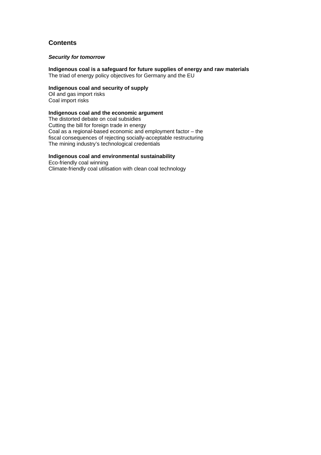### **Contents**

#### *Security for tomorrow*

**Indigenous coal is a safeguard for future supplies of energy and raw materials**  The triad of energy policy objectives for Germany and the EU

### **Indigenous coal and security of supply**

Oil and gas import risks Coal import risks

#### **Indigenous coal and the economic argument**

The distorted debate on coal subsidies Cutting the bill for foreign trade in energy Coal as a regional-based economic and employment factor – the fiscal consequences of rejecting socially-acceptable restructuring The mining industry's technological credentials

#### **Indigenous coal and environmental sustainability**

Eco-friendly coal winning Climate-friendly coal utilisation with clean coal technology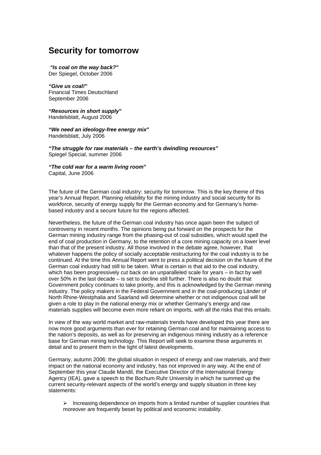### **Security for tomorrow**

 *"Is coal on the way back?***"**  Der Spiegel, October 2006

*"Give us coal!***"**  Financial Times Deutschland September 2006

*"Resources in short supply***"**  Handelsblatt, August 2006

*"We need an ideology-free energy mix***"**  Handelsblatt, July 2006

*"The struggle for raw materials – the earth's dwindling resources***"**  Spiegel Special, summer 2006

*"The cold war for a warm living room***"**  Capital, June 2006

The future of the German coal industry: security for tomorrow. This is the key theme of this year's Annual Report. Planning reliability for the mining industry and social security for its workforce, security of energy supply for the German economy and for Germany's homebased industry and a secure future for the regions affected.

Nevertheless, the future of the German coal industry has once again been the subject of controversy in recent months. The opinions being put forward on the prospects for the German mining industry range from the phasing-out of coal subsidies, which would spell the end of coal production in Germany, to the retention of a core mining capacity on a lower level than that of the present industry. All those involved in the debate agree, however, that whatever happens the policy of socially acceptable restructuring for the coal industry is to be continued. At the time this Annual Report went to press a political decision on the future of the German coal industry had still to be taken. What is certain is that aid to the coal industry, which has been progressively cut back on an unparalleled scale for years – in fact by well over 50% in the last decade – is set to decline still further. There is also no doubt that Government policy continues to take priority, and this is acknowledged by the German mining industry. The policy makers in the Federal Government and in the coal-producing Länder of North Rhine-Westphalia and Saarland will determine whether or not indigenous coal will be given a role to play in the national energy mix or whether Germany's energy and raw materials supplies will become even more reliant on imports, with all the risks that this entails.

In view of the way world market and raw-materials trends have developed this year there are now more good arguments than ever for retaining German coal and for maintaining access to the nation's deposits, as well as for preserving an indigenous mining industry as a reference base for German mining technology. This Report will seek to examine these arguments in detail and to present them in the light of latest developments.

Germany, autumn 2006: the global situation in respect of energy and raw materials, and their impact on the national economy and industry, has not improved in any way. At the end of September this year Claude Mandil, the Executive Director of the International Energy Agency (IEA), gave a speech to the Bochum Ruhr University in which he summed up the current security-relevant aspects of the world's energy and supply situation in three key statements:

 $\triangleright$  Increasing dependence on imports from a limited number of supplier countries that moreover are frequently beset by political and economic instability.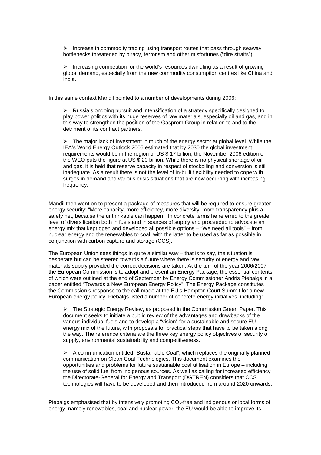$\triangleright$  Increase in commodity trading using transport routes that pass through seaway bottlenecks threatened by piracy, terrorism and other misfortunes ("dire straits").

 $\triangleright$  Increasing competition for the world's resources dwindling as a result of growing global demand, especially from the new commodity consumption centres like China and India.

In this same context Mandil pointed to a number of developments during 2006:

 $\triangleright$  Russia's ongoing pursuit and intensification of a strategy specifically designed to play power politics with its huge reserves of raw materials, especially oil and gas, and in this way to strengthen the position of the Gasprom Group in relation to and to the detriment of its contract partners.

 $\triangleright$  The major lack of investment in much of the energy sector at global level. While the IEA's World Energy Outlook 2005 estimated that by 2030 the global investment requirements would be in the region of US \$ 17 billion, the November 2006 edition of the WEO puts the figure at US \$ 20 billion. While there is no physical shortage of oil and gas, it is held that reserve capacity in respect of stockpiling and conversion is still inadequate. As a result there is not the level of in-built flexibility needed to cope with surges in demand and various crisis situations that are now occurring with increasing frequency.

Mandil then went on to present a package of measures that will be required to ensure greater energy security: "More capacity, more efficiency, more diversity, more transparency plus a safety net, because the unthinkable can happen." In concrete terms he referred to the greater level of diversification both in fuels and in sources of supply and proceeded to advocate an energy mix that kept open and developed all possible options – "We need all tools" – from nuclear energy and the renewables to coal, with the latter to be used as far as possible in conjunction with carbon capture and storage (CCS).

The European Union sees things in quite a similar way – that is to say, the situation is desperate but can be steered towards a future where there is security of energy and raw materials supply provided the correct decisions are taken. At the turn of the year 2006/2007 the European Commission is to adopt and present an Energy Package, the essential contents of which were outlined at the end of September by Energy Commissioner Andris Piebalgs in a paper entitled "Towards a New European Energy Policy". The Energy Package constitutes the Commission's response to the call made at the EU's Hampton Court Summit for a new European energy policy. Piebalgs listed a number of concrete energy initiatives, including:

 $\triangleright$  The Strategic Energy Review, as proposed in the Commission Green Paper. This document seeks to initiate a public review of the advantages and drawbacks of the various individual fuels and to develop a "vision" for a sustainable and secure EU energy mix of the future, with proposals for practical steps that have to be taken along the way. The reference criteria are the three key energy policy objectives of security of supply, environmental sustainability and competitiveness.

 $\triangleright$  A communication entitled "Sustainable Coal", which replaces the originally planned communication on Clean Coal Technologies. This document examines the opportunities and problems for future sustainable coal utilisation in Europe – including the use of solid fuel from indigenous sources. As well as calling for increased efficiency the Directorate-General for Energy and Transport (DGTREN) considers that CCS technologies will have to be developed and then introduced from around 2020 onwards.

Piebalgs emphasised that by intensively promoting  $CO<sub>2</sub>$ -free and indigenous or local forms of energy, namely renewables, coal and nuclear power, the EU would be able to improve its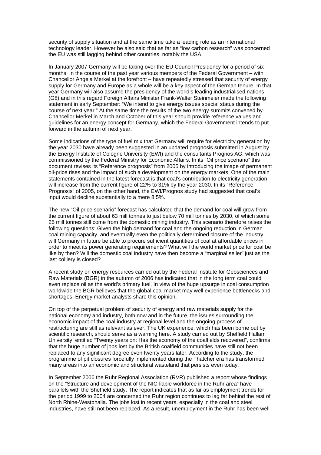security of supply situation and at the same time take a leading role as an international technology leader. However he also said that as far as "low carbon research" was concerned the EU was still lagging behind other countries, notably the USA.

In January 2007 Germany will be taking over the EU Council Presidency for a period of six months. In the course of the past year various members of the Federal Government – with Chancellor Angela Merkel at the forefront – have repeatedly stressed that security of energy supply for Germany and Europe as a whole will be a key aspect of the German tenure. In that year Germany will also assume the presidency of the world's leading industrialised nations (G8) and in this regard Foreign Affairs Minister Frank-Walter Steinmeier made the following statement in early September: "We intend to give energy issues special status during the course of next year." At the same time the results of the two energy summits convened by Chancellor Merkel in March and October of this year should provide reference values and guidelines for an energy concept for Germany, which the Federal Government intends to put forward in the autumn of next year.

Some indications of the type of fuel mix that Germany will require for electricity generation by the year 2030 have already been suggested in an updated prognosis submitted in August by the Energy Institute of Cologne University (EWI) and the consultants Prognos AG, which was commissioned by the Federal Ministry for Economic Affairs. In its "Oil price scenario" this document revises its "Reference prognosis" from 2005 by introducing the image of permanent oil-price rises and the impact of such a development on the energy markets. One of the main statements contained in the latest forecast is that coal's contribution to electricity generation will increase from the current figure of 22% to 31% by the year 2030. In its "Reference Prognosis" of 2005, on the other hand, the EWI/Prognos study had suggested that coal's input would decline substantially to a mere 8.5%.

The new "Oil price scenario" forecast has calculated that the demand for coal will grow from the current figure of about 63 mill tonnes to just below 70 mill tonnes by 2030, of which some 25 mill tonnes still come from the domestic mining industry. This scenario therefore raises the following questions: Given the high demand for coal and the ongoing reduction in German coal mining capacity, and eventually even the politically determined closure of the industry, will Germany in future be able to procure sufficient quantities of coal at affordable prices in order to meet its power generating requirements? What will the world market price for coal be like by then? Will the domestic coal industry have then become a "marginal seller" just as the last colliery is closed?

A recent study on energy resources carried out by the Federal Institute for Geosciences and Raw Materials (BGR) in the autumn of 2006 has indicated that in the long term coal could even replace oil as the world's primary fuel. In view of the huge upsurge in coal consumption worldwide the BGR believes that the global coal market may well experience bottlenecks and shortages. Energy market analysts share this opinion.

On top of the perpetual problem of security of energy and raw materials supply for the national economy and industry, both now and in the future, the issues surrounding the economic impact of the coal industry at regional level and the ongoing process of restructuring are still as relevant as ever. The UK experience, which has been borne out by scientific research, should serve as a warning here. A study carried out by Sheffield Hallam University, entitled "Twenty years on: Has the economy of the coalfields recovered", confirms that the huge number of jobs lost by the British coalfield communities have still not been replaced to any significant degree even twenty years later. According to the study, the programme of pit closures forcefully implemented during the Thatcher era has transformed many areas into an economic and structural wasteland that persists even today.

In September 2006 the Ruhr Regional Association (RVR) published a report whose findings on the "Structure and development of the NIC-liable workforce in the Ruhr area" have parallels with the Sheffield study. The report indicates that as far as employment trends for the period 1999 to 2004 are concerned the Ruhr region continues to lag far behind the rest of North Rhine-Westphalia. The jobs lost in recent years, especially in the coal and steel industries, have still not been replaced. As a result, unemployment in the Ruhr has been well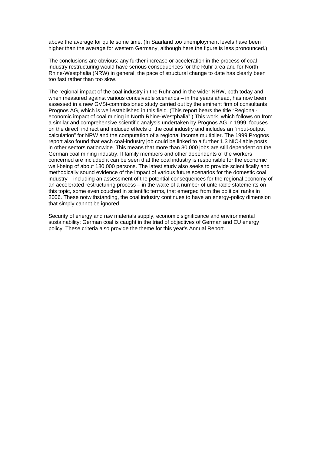above the average for quite some time. (In Saarland too unemployment levels have been higher than the average for western Germany, although here the figure is less pronounced.)

The conclusions are obvious: any further increase or acceleration in the process of coal industry restructuring would have serious consequences for the Ruhr area and for North Rhine-Westphalia (NRW) in general; the pace of structural change to date has clearly been too fast rather than too slow.

The regional impact of the coal industry in the Ruhr and in the wider NRW, both today and when measured against various conceivable scenarios – in the years ahead, has now been assessed in a new GVSt-commissioned study carried out by the eminent firm of consultants Prognos AG, which is well established in this field. (This report bears the title "Regionaleconomic impact of coal mining in North Rhine-Westphalia".) This work, which follows on from a similar and comprehensive scientific analysis undertaken by Prognos AG in 1999, focuses on the direct, indirect and induced effects of the coal industry and includes an "input-output calculation" for NRW and the computation of a regional income multiplier. The 1999 Prognos report also found that each coal-industry job could be linked to a further 1.3 NIC-liable posts in other sectors nationwide. This means that more than 80,000 jobs are still dependent on the German coal mining industry. If family members and other dependents of the workers concerned are included it can be seen that the coal industry is responsible for the economic well-being of about 180,000 persons. The latest study also seeks to provide scientifically and methodically sound evidence of the impact of various future scenarios for the domestic coal industry – including an assessment of the potential consequences for the regional economy of an accelerated restructuring process – in the wake of a number of untenable statements on this topic, some even couched in scientific terms, that emerged from the political ranks in 2006. These notwithstanding, the coal industry continues to have an energy-policy dimension that simply cannot be ignored.

Security of energy and raw materials supply, economic significance and environmental sustainability: German coal is caught in the triad of objectives of German and EU energy policy. These criteria also provide the theme for this year's Annual Report.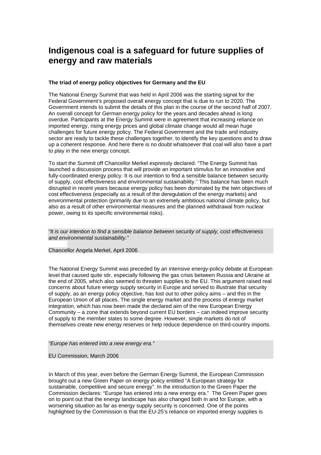### **Indigenous coal is a safeguard for future supplies of energy and raw materials**

#### **The triad of energy policy objectives for Germany and the EU**

The National Energy Summit that was held in April 2006 was the starting signal for the Federal Government's proposed overall energy concept that is due to run to 2020. The Government intends to submit the details of this plan in the course of the second half of 2007. An overall concept for German energy policy for the years and decades ahead is long overdue. Participants at the Energy Summit were in agreement that increasing reliance on imported energy, rising energy prices and global climate change would all mean huge challenges for future energy policy. The Federal Government and the trade and industry sector are ready to tackle these challenges together, to identify the key questions and to draw up a coherent response. And here there is no doubt whatsoever that coal will also have a part to play in the new energy concept.

To start the Summit off Chancellor Merkel expressly declared: "The Energy Summit has launched a discussion process that will provide an important stimulus for an innovative and fully-coordinated energy policy. It is our intention to find a sensible balance between security of supply, cost effectiveness and environmental sustainability." This balance has been much disrupted in recent years because energy policy has been dominated by the twin objectives of cost effectiveness (especially as a result of the deregulation of the energy markets) and environmental protection (primarily due to an extremely ambitious national climate policy, but also as a result of other environmental measures and the planned withdrawal from nuclear power, owing to its specific environmental risks).

*"It is our intention to find a sensible balance between security of supply, cost effectiveness and environmental sustainability."* 

Chancellor Angela Merkel, April 2006

The National Energy Summit was preceded by an intensive energy-policy debate at European level that caused quite stir, especially following the gas crisis between Russia and Ukraine at the end of 2005, which also seemed to threaten supplies to the EU. This argument raised real concerns about future energy supply security in Europe and served to illustrate that security of supply, as an energy policy objective, has lost out to other policy aims – and this in the European Union of all places. The single energy market and the process of energy market integration, which has now been made the declared aim of the new European Energy Community – a zone that extends beyond current EU borders – can indeed improve security of supply to the member states to some degree. However, single markets do not of themselves create new energy reserves or help reduce dependence on third-country imports.

*"Europe has entered into a new energy era."* 

#### EU Commission, March 2006

In March of this year, even before the German Energy Summit, the European Commission brought out a new Green Paper on energy policy entitled "A European strategy for sustainable, competitive and secure energy". In the introduction to the Green Paper the Commission declares: "Europe has entered into a new energy era." The Green Paper goes on to point out that the energy landscape has also changed both in and for Europe, with a worsening situation as far as energy supply security is concerned. One of the points highlighted by the Commission is that the EU-25's reliance on imported energy supplies is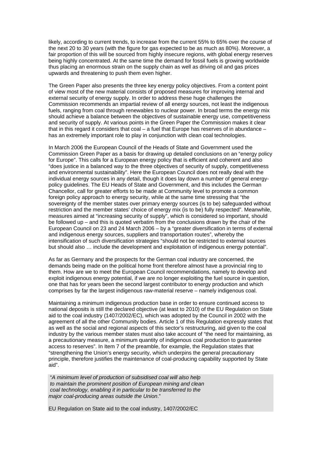likely, according to current trends, to increase from the current 55% to 65% over the course of the next 20 to 30 years (with the figure for gas expected to be as much as 80%). Moreover, a fair proportion of this will be sourced from highly insecure regions, with global energy reserves being highly concentrated. At the same time the demand for fossil fuels is growing worldwide thus placing an enormous strain on the supply chain as well as driving oil and gas prices upwards and threatening to push them even higher.

The Green Paper also presents the three key energy policy objectives. From a content point of view most of the new material consists of proposed measures for improving internal and external security of energy supply. In order to address these huge challenges the Commission recommends an impartial review of all energy sources, not least the indigenous fuels, ranging from coal through renewables to nuclear power. In broad terms the energy mix should achieve a balance between the objectives of sustainable energy use, competitiveness and security of supply. At various points in the Green Paper the Commission makes it clear that in this regard it considers that  $\cosh - a$  fuel that Europe has reserves of in abundance – has an extremely important role to play in conjunction with clean coal technologies.

In March 2006 the European Council of the Heads of State and Government used the Commission Green Paper as a basis for drawing up detailed conclusions on an "energy policy for Europe". This calls for a European energy policy that is efficient and coherent and also "does justice in a balanced way to the three objectives of security of supply, competitiveness and environmental sustainability". Here the European Council does not really deal with the individual energy sources in any detail, though it does lay down a number of general energypolicy guidelines. The EU Heads of State and Government, and this includes the German Chancellor, call for greater efforts to be made at Community level to promote a common foreign policy approach to energy security, while at the same time stressing that "the sovereignty of the member states over primary energy sources (is to be) safeguarded without restriction and the member states' choice of energy mix (is to be) fully respected". Meanwhile, measures aimed at "increasing security of supply", which is considered so important, should be followed up – and this is quoted verbatim from the conclusions drawn by the chair of the European Council on 23 and 24 March 2006 – by a "greater diversification in terms of external and indigenous energy sources, suppliers and transportation routes", whereby the intensification of such diversification strategies "should not be restricted to external sources but should also … include the development and exploitation of indigenous energy potential".

As far as Germany and the prospects for the German coal industry are concerned, the demands being made on the political home front therefore almost have a provincial ring to them. How are we to meet the European Council recommendations, namely to develop and exploit indigenous energy potential, if we are no longer exploiting the fuel source in question, one that has for years been the second largest contributor to energy production and which comprises by far the largest indigenous raw-material reserve – namely indigenous coal.

Maintaining a minimum indigenous production base in order to ensure continued access to national deposits is still the declared objective (at least to 2010) of the EU Regulation on State aid to the coal industry (1407/2002/EC), which was adopted by the Council in 2002 with the agreement of all the other Community bodies. Article 1 of this Regulation expressly states that as well as the social and regional aspects of this sector's restructuring, aid given to the coal industry by the various member states must also take account of "the need for maintaining, as a precautionary measure, a minimum quantity of indigenous coal production to guarantee access to reserves". In Item 7 of the preamble, for example, the Regulation states that "strengthening the Union's energy security, which underpins the general precautionary principle, therefore justifies the maintenance of coal-producing capability supported by State aid".

 "*A minimum level of production of subsidised coal will also help to maintain the prominent position of European mining and clean coal technology, enabling it in particular to be transferred to the major coal-producing areas outside the Union*."

EU Regulation on State aid to the coal industry, 1407/2002/EC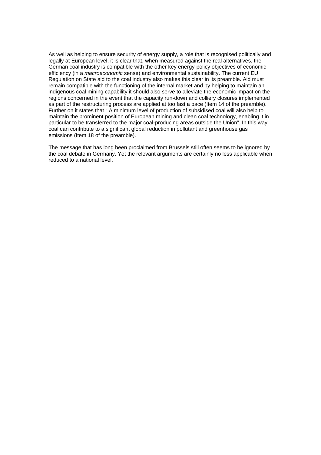As well as helping to ensure security of energy supply, a role that is recognised politically and legally at European level, it is clear that, when measured against the real alternatives, the German coal industry is compatible with the other key energy-policy objectives of economic efficiency (in a *macroeconomic* sense) and environmental sustainability. The current EU Regulation on State aid to the coal industry also makes this clear in its preamble. Aid must remain compatible with the functioning of the internal market and by helping to maintain an indigenous coal mining capability it should also serve to alleviate the economic impact on the regions concerned in the event that the capacity run-down and colliery closures implemented as part of the restructuring process are applied at too fast a pace (Item 14 of the preamble). Further on it states that " A minimum level of production of subsidised coal will also help to maintain the prominent position of European mining and clean coal technology, enabling it in particular to be transferred to the major coal-producing areas outside the Union". In this way coal can contribute to a significant global reduction in pollutant and greenhouse gas emissions (Item 18 of the preamble).

The message that has long been proclaimed from Brussels still often seems to be ignored by the coal debate in Germany. Yet the relevant arguments are certainly no less applicable when reduced to a national level.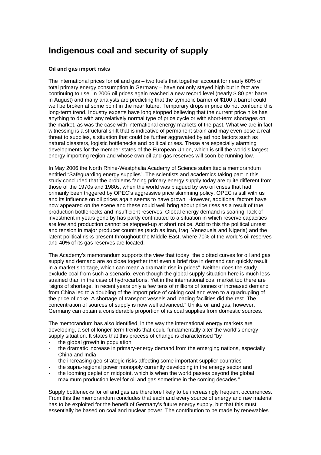## **Indigenous coal and security of supply**

#### **Oil and gas import risks**

The international prices for oil and gas – two fuels that together account for nearly 60% of total primary energy consumption in Germany – have not only stayed high but in fact are continuing to rise. In 2006 oil prices again reached a new record level (nearly \$ 80 per barrel in August) and many analysts are predicting that the symbolic barrier of \$100 a barrel could well be broken at some point in the near future. Temporary drops in price do not confound this long-term trend. Industry experts have long stopped believing that the current price hike has anything to do with any relatively normal type of price cycle or with short-term shortages on the market, as was the case with international energy markets of the past. What we are in fact witnessing is a structural shift that is indicative of permanent strain and may even pose a real threat to supplies, a situation that could be further aggravated by ad hoc factors such as natural disasters, logistic bottlenecks and political crises. These are especially alarming developments for the member states of the European Union, which is still the world's largest energy importing region and whose own oil and gas reserves will soon be running low.

In May 2006 the North Rhine-Westphalia Academy of Science submitted a memorandum entitled "Safeguarding energy supplies". The scientists and academics taking part in this study concluded that the problems facing primary energy supply today are quite different from those of the 1970s and 1980s, when the world was plagued by two oil crises that had primarily been triggered by OPEC's aggressive price skimming policy. OPEC is still with us and its influence on oil prices again seems to have grown. However, additional factors have now appeared on the scene and these could well bring about price rises as a result of true production bottlenecks and insufficient reserves. Global energy demand is soaring; lack of investment in years gone by has partly contributed to a situation in which reserve capacities are low and production cannot be stepped-up at short notice. Add to this the political unrest and tension in major producer countries (such as Iran, Iraq, Venezuela and Nigeria) and the latent political risks present throughout the Middle East, where 70% of the world's oil reserves and 40% of its gas reserves are located.

The Academy's memorandum supports the view that today "the plotted curves for oil and gas supply and demand are so close together that even a brief rise in demand can quickly result in a market shortage, which can mean a dramatic rise in prices". Neither does the study exclude coal from such a scenario, even though the global supply situation here is much less strained than in the case of hydrocarbons. Yet in the international coal market too there are "signs of shortage. In recent years only a few tens of millions of tonnes of increased demand from China led to a doubling of the import price of coking coal and even to a quadrupling of the price of coke. A shortage of transport vessels and loading facilities did the rest. The concentration of sources of supply is now well advanced." Unlike oil and gas, however, Germany can obtain a considerable proportion of its coal supplies from domestic sources.

The memorandum has also identified, in the way the international energy markets are developing, a set of longer-term trends that could fundamentally alter the world's energy supply situation. It states that this process of change is characterised "by

- the global growth in population
- the dramatic increase in primary-energy demand from the emerging nations, especially China and India
- the increasing geo-strategic risks affecting some important supplier countries
- the supra-regional power monopoly currently developing in the energy sector and
- the looming depletion midpoint, which is when the world passes beyond the global maximum production level for oil and gas sometime in the coming decades."

Supply bottlenecks for oil and gas are therefore likely to be increasingly frequent occurrences. From this the memorandum concludes that each and every source of energy and raw material has to be exploited for the benefit of Germany's future energy supply, but that this must essentially be based on coal and nuclear power. The contribution to be made by renewables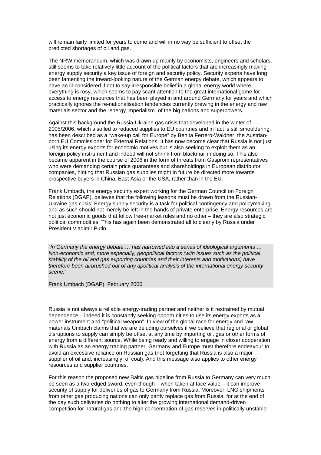will remain fairly limited for years to come and will in no way be sufficient to offset the predicted shortages of oil and gas.

The NRW memorandum, which was drawn up mainly by economists, engineers and scholars, still seems to take relatively little account of the political factors that are increasingly making energy supply security a key issue of foreign and security policy. Security experts have long been lamenting the inward-looking nature of the German energy debate, which appears to have an ill-considered if not to say irresponsible belief in a global energy world where everything is rosy, which seems to pay scant attention to the great international game for access to energy resources that has been played in and around Germany for years and which practically ignores the re-nationalisation tendencies currently brewing in the energy and raw materials sector and the "energy imperialism" of the big nations and superpowers.

Against this background the Russia-Ukraine gas crisis that developed in the winter of 2005/2006, which also led to reduced supplies to EU countries and in fact is still smouldering, has been described as a "wake-up call for Europe" by Benita Ferrero-Waldner, the Austrianborn EU Commissioner for External Relations. It has now become clear that Russia is not just using its energy exports for economic motives but is also seeking to exploit them as an foreign-policy instrument and indeed will not shrink from blackmail in doing so. This also became apparent in the course of 2006 in the form of threats from Gasprom representatives who were demanding certain price guarantees and shareholdings in European distributor companies, hinting that Russian gas supplies might in future be directed more towards prospective buyers in China, East Asia or the USA, rather than in the EU.

Frank Umbach, the energy security expert working for the German Council on Foreign Relations (DGAP), believes that the following lessons must be drawn from the Russian-Ukraine gas crisis: Energy supply security is a task for political contingency and policymaking and as such should not merely be left in the hands of private enterprise. Energy resources are not just economic goods that follow free-market rules and no other – they are also strategic political commodities. This has again been demonstrated all to clearly by Russia under President Vladimir Putin.

"*In Germany the energy debate … has narrowed into a series of ideological arguments … Non-economic and, more especially, geopolitical factors (with issues such as the political stability of the oil and gas exporting countries and their interests and motivations) have therefore been airbrushed out of any apolitical analysis of the international energy security scene.*"

Frank Umbach (DGAP), February 2006

Russia is not always a reliable energy-trading partner and neither is it restrained by mutual dependence – indeed it is constantly seeking opportunities to use its energy exports as a power instrument and "political weapon". In view of the global race for energy and raw materials Umbach claims that we are deluding ourselves if we believe that regional or global disruptions to supply can simply be offset at any time by importing oil, gas or other forms of energy from a different source. While being ready and willing to engage in closer cooperation with Russia as an energy trading partner, Germany and Europe must therefore endeavour to avoid an excessive reliance on Russian gas (not forgetting that Russia is also a major supplier of oil and, increasingly, of coal). And this message also applies to other energy resources and supplier countries.

For this reason the proposed new Baltic gas pipeline from Russia to Germany can very much be seen as a two-edged sword, even though – when taken at face value – it can improve security of supply for deliveries of gas to Germany from Russia. Moreover, LNG shipments from other gas producing nations can only partly replace gas from Russia, for at the end of the day such deliveries do nothing to alter the growing international demand-driven competition for natural gas and the high concentration of gas reserves in politically unstable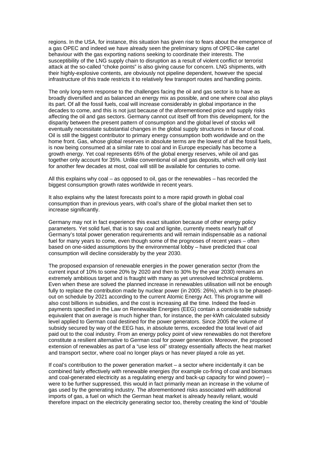regions. In the USA, for instance, this situation has given rise to fears about the emergence of a gas OPEC and indeed we have already seen the preliminary signs of OPEC-like cartel behaviour with the gas exporting nations seeking to coordinate their interests. The susceptibility of the LNG supply chain to disruption as a result of violent conflict or terrorist attack at the so-called "choke points" is also giving cause for concern. LNG shipments, with their highly-explosive contents, are obviously not pipeline dependent, however the special infrastructure of this trade restricts it to relatively few transport routes and handling points.

The only long-term response to the challenges facing the oil and gas sector is to have as broadly diversified and as balanced an energy mix as possible, and one where coal also plays its part. Of all the fossil fuels, coal will increase considerably in global importance in the decades to come, and this is not just because of the aforementioned price and supply risks affecting the oil and gas sectors. Germany cannot cut itself off from this development, for the disparity between the present pattern of consumption and the global level of stocks will eventually necessitate substantial changes in the global supply structures in favour of coal. Oil is still the biggest contributor to primary energy consumption both worldwide and on the home front. Gas, whose global reserves in absolute terms are the lowest of all the fossil fuels, is now being consumed at a similar rate to coal and in Europe especially has become a growth energy. Yet coal represents 65% of the global energy reserves, while oil and gas together only account for 35%. Unlike conventional oil and gas deposits, which will only last for another few decades at most, coal will still be available for centuries to come.

All this explains why coal – as opposed to oil, gas or the renewables – has recorded the biggest consumption growth rates worldwide in recent years.

It also explains why the latest forecasts point to a more rapid growth in global coal consumption than in previous years, with coal's share of the global market then set to increase significantly.

Germany may not in fact experience this exact situation because of other energy policy parameters. Yet solid fuel, that is to say coal and lignite, currently meets nearly half of Germany's total power generation requirements and will remain indispensable as a national fuel for many years to come, even though some of the prognoses of recent years – often based on one-sided assumptions by the environmental lobby – have predicted that coal consumption will decline considerably by the year 2030.

The proposed expansion of renewable energies in the power generation sector (from the current input of 10% to some 20% by 2020 and then to 30% by the year 2030) remains an extremely ambitious target and is fraught with many as yet unresolved technical problems. Even when these are solved the planned increase in renewables utilisation will not be enough fully to replace the contribution made by nuclear power (in 2005: 26%), which is to be phasedout on schedule by 2021 according to the current Atomic Energy Act. This programme will also cost billions in subsidies, and the cost is increasing all the time. Indeed the feed-in payments specified in the Law on Renewable Energies (EEG) contain a considerable subsidy equivalent that on average is much higher than, for instance, the per-kWh calculated subsidy level applied to German coal destined for the power generators. Since 2005 the volume of subsidy secured by way of the EEG has, in absolute terms, exceeded the total level of aid paid out to the coal industry. From an energy policy point of view renewables do not therefore constitute a resilient alternative to German coal for power generation. Moreover, the proposed extension of renewables as part of a "use less oil" strategy essentially affects the heat market and transport sector, where coal no longer plays or has never played a role as yet.

If coal's contribution to the power generation market – a sector where incidentally it can be combined fairly effectively with renewable energies (for example co-firing of coal and biomass and coal-generated electricity as a regulating energy and back-up capacity for wind power) – were to be further suppressed, this would in fact primarily mean an increase in the volume of gas used by the generating industry. The aforementioned risks associated with additional imports of gas, a fuel on which the German heat market is already heavily reliant, would therefore impact on the electricity generating sector too, thereby creating the kind of "double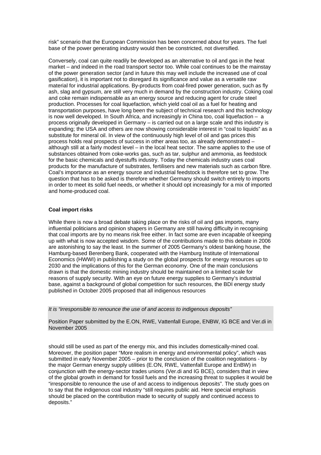risk" scenario that the European Commission has been concerned about for years. The fuel base of the power generating industry would then be constricted, not diversified.

Conversely, coal can quite readily be developed as an alternative to oil and gas in the heat market – and indeed in the road transport sector too. While coal continues to be the mainstay of the power generation sector (and in future this may well include the increased use of coal gasification), it is important not to disregard its significance and value as a versatile raw material for industrial applications. By-products from coal-fired power generation, such as fly ash, slag and gypsum, are still very much in demand by the construction industry. Coking coal and coke remain indispensable as an energy source and reducing agent for crude steel production. Processes for coal liquefaction, which yield coal oil as a fuel for heating and transportation purposes, have long been the subject of technical research and this technology is now well developed. In South Africa, and increasingly in China too, coal liquefaction  $-$  a process originally developed in Germany – is carried out on a large scale and this industry is expanding; the USA and others are now showing considerable interest in "coal to liquids" as a substitute for mineral oil. In view of the continuously high level of oil and gas prices this process holds real prospects of success in other areas too, as already demonstrated – although still at a fairly modest level – in the local heat sector. The same applies to the use of substances obtained from coke-works gas, such as tar, sulphur and ammonia, as feedstock for the basic chemicals and dyestuffs industry. Today the chemicals industry uses coal products for the manufacture of substrates, fertilisers and new materials such as carbon fibre. Coal's importance as an energy source and industrial feedstock is therefore set to grow. The question that has to be asked is therefore whether Germany should switch entirely to imports in order to meet its solid fuel needs, or whether it should opt increasingly for a mix of imported and home-produced coal.

#### **Coal import risks**

While there is now a broad debate taking place on the risks of oil and gas imports, many influential politicians and opinion shapers in Germany are still having difficulty in recognising that coal imports are by no means risk free either. In fact some are even incapable of keeping up with what is now accepted wisdom. Some of the contributions made to this debate in 2006 are astonishing to say the least. In the summer of 2005 Germany's oldest banking house, the Hamburg-based Berenberg Bank, cooperated with the Hamburg Institute of International Economics (HWWI) in publishing a study on the global prospects for energy resources up to 2030 and the implications of this for the German economy. One of the main conclusions drawn is that the domestic mining industry should be maintained on a limited scale for reasons of supply security. With an eye on future energy supplies to Germany's industrial base, against a background of global competition for such resources, the BDI energy study published in October 2005 proposed that all indigenous resources

*It is "irresponsible to renounce the use of and access to indigenous deposits"* 

Position Paper submitted by the E.ON, RWE, Vattenfall Europe, ENBW, IG BCE and Ver.di in November 2005

should still be used as part of the energy mix, and this includes domestically-mined coal. Moreover, the position paper "More realism in energy and environmental policy", which was submitted in early November 2005 – prior to the conclusion of the coalition negotiations - by the major German energy supply utilities (E.ON, RWE, Vattenfall Europe and EnBW) in conjunction with the energy-sector trades unions (Ver.di and IG BCE), considers that in view of the global growth in demand for fossil fuels and the increasing threat to supplies it would be "irresponsible to renounce the use of and access to indigenous deposits". The study goes on to say that the indigenous coal industry "still requires public aid. Here special emphasis should be placed on the contribution made to security of supply and continued access to deposits."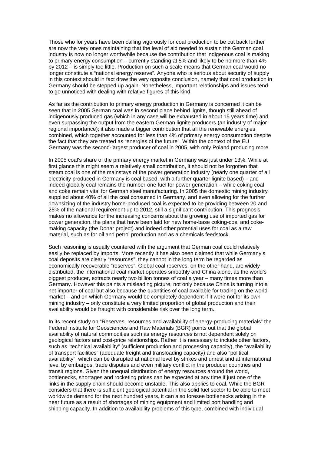Those who for years have been calling vigorously for coal production to be cut back further are now the very ones maintaining that the level of aid needed to sustain the German coal industry is now no longer worthwhile because the contribution that indigenous coal is making to primary energy consumption – currently standing at 5% and likely to be no more than 4% by 2012 – is simply too little. Production on such a scale means that German coal would no longer constitute a "national energy reserve". Anyone who is serious about security of supply in this context should in fact draw the very opposite conclusion, namely that coal production in Germany should be stepped up again. Nonetheless, important relationships and issues tend to go unnoticed with dealing with relative figures of this kind.

As far as the contribution to primary energy production in Germany is concerned it can be seen that in 2005 German coal was in second place behind lignite, though still ahead of indigenously produced gas (which in any case will be exhausted in about 15 years time) and even surpassing the output from the eastern German lignite producers (an industry of major regional importance); it also made a bigger contribution that all the renewable energies combined, which together accounted for less than 4% of primary energy consumption despite the fact that they are treated as "energies of the future". Within the context of the EU Germany was the second-largest producer of coal in 2005, with only Poland producing more.

In 2005 coal's share of the primary energy market in Germany was just under 13%. While at first glance this might seem a relatively small contribution, it should not be forgotten that steam coal is one of the mainstays of the power generation industry (nearly one quarter of all electricity produced in Germany is coal based, with a further quarter lignite based) – and indeed globally coal remains the number-one fuel for power generation – while coking coal and coke remain vital for German steel manufacturing. In 2005 the domestic mining industry supplied about 40% of all the coal consumed in Germany, and even allowing for the further downsizing of the industry home-produced coal is expected to be providing between 20 and 25% of the national requirement up to 2012, still a significant contribution. This prognosis makes no allowance for the increasing concerns about the growing use of imported gas for power generation, the plans that have been laid for new home-base coking-coal and cokemaking capacity (the Donar project) and indeed other potential uses for coal as a raw material, such as for oil and petrol production and as a chemicals feedstock.

Such reasoning is usually countered with the argument that German coal could relatively easily be replaced by imports. More recently it has also been claimed that while Germany's coal deposits are clearly "resources", they cannot in the long term be regarded as economically recoverable "reserves". Global coal reserves, on the other hand, are widely distributed, the international coal market operates smoothly and China alone, as the world's biggest producer, extracts nearly two billion tonnes of coal a year – many times more than Germany. However this paints a misleading picture, not only because China is turning into a net importer of coal but also because the quantities of coal available for trading on the world market – and on which Germany would be completely dependent if it were not for its own mining industry – only constitute a very limited proportion of global production and their availability would be fraught with considerable risk over the long term.

In its recent study on "Reserves, resources and availability of energy-producing materials" the Federal Institute for Geosciences and Raw Materials (BGR) points out that the global availability of natural commodities such as energy resources is not dependent solely on geological factors and cost-price relationships. Rather it is necessary to include other factors, such as "technical availability" (sufficient production and processing capacity), the "availability of transport facilities" (adequate freight and transloading capacity) and also "political availability", which can be disrupted at national level by strikes and unrest and at international level by embargos, trade disputes and even military conflict in the producer countries and transit regions. Given the unequal distribution of energy resources around the world, bottlenecks, shortages and rocketing prices can be expected at any time if just one of the links in the supply chain should become unstable. This also applies to coal. While the BGR considers that there is sufficient geological potential in the solid fuel sector to be able to meet worldwide demand for the next hundred years, it can also foresee bottlenecks arising in the near future as a result of shortages of mining equipment and limited port handling and shipping capacity. In addition to availability problems of this type, combined with individual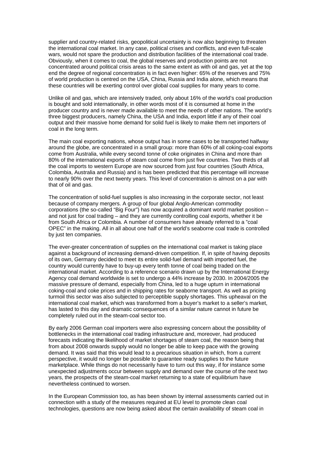supplier and country-related risks, geopolitical uncertainty is now also beginning to threaten the international coal market. In any case, political crises and conflicts, and even full-scale wars, would not spare the production and distribution facilities of the international coal trade. Obviously, when it comes to coal, the global reserves and production points are not concentrated around political crisis areas to the same extent as with oil and gas, yet at the top end the degree of regional concentration is in fact even higher: 65% of the reserves and 75% of world production is centred on the USA, China, Russia and India alone, which means that these countries will be exerting control over global coal supplies for many years to come.

Unlike oil and gas, which are intensively traded, only about 16% of the world's coal production is bought and sold internationally, in other words most of it is consumed at home in the producer country and is never made available to meet the needs of other nations. The world's three biggest producers, namely China, the USA and India, export little if any of their coal output and their massive home demand for solid fuel is likely to make them net importers of coal in the long term.

The main coal exporting nations, whose output has in some cases to be transported halfway around the globe, are concentrated in a small group: more than 60% of all coking-coal exports come from Australia, while every second tonne of coke originates in China and more than 80% of the international exports of steam coal come from just five countries. Two thirds of all the coal imports to western Europe are now sourced from just four countries (South Africa, Colombia, Australia and Russia) and is has been predicted that this percentage will increase to nearly 90% over the next twenty years. This level of concentration is almost on a par with that of oil and gas.

The concentration of solid-fuel supplies is also increasing in the corporate sector, not least because of company mergers. A group of four global Anglo-American commodity corporations (the so-called "Big Four") has now acquired a dominant world market position – and not just for coal trading – and they are currently controlling coal exports, whether it be from South Africa or Colombia. A number of consumers have already referred to a "coal OPEC" in the making. All in all about one half of the world's seaborne coal trade is controlled by just ten companies.

The ever-greater concentration of supplies on the international coal market is taking place against a background of increasing demand-driven competition. If, in spite of having deposits of its own, Germany decided to meet its entire solid-fuel demand with imported fuel, the country would currently have to buy-up every tenth tonne of coal being traded on the international market. According to a reference scenario drawn up by the International Energy Agency coal demand worldwide is set to undergo a 44% increase by 2030. In 2004/2005 the massive pressure of demand, especially from China, led to a huge upturn in international coking-coal and coke prices and in shipping rates for seaborne transport. As well as pricing turmoil this sector was also subjected to perceptible supply shortages. This upheaval on the international coal market, which was transformed from a buyer's market to a seller's market, has lasted to this day and dramatic consequences of a similar nature cannot in future be completely ruled out in the steam-coal sector too.

By early 2006 German coal importers were also expressing concern about the possibility of bottlenecks in the international coal trading infrastructure and, moreover, had produced forecasts indicating the likelihood of market shortages of steam coal, the reason being that from about 2008 onwards supply would no longer be able to keep pace with the growing demand. It was said that this would lead to a precarious situation in which, from a current perspective, it would no longer be possible to guarantee ready supplies to the future marketplace. While things do not necessarily have to turn out this way, if for instance some unexpected adjustments occur between supply and demand over the course of the next two years, the prospects of the steam-coal market returning to a state of equilibrium have nevertheless continued to worsen.

In the European Commission too, as has been shown by internal assessments carried out in connection with a study of the measures required at EU level to promote clean coal technologies, questions are now being asked about the certain availability of steam coal in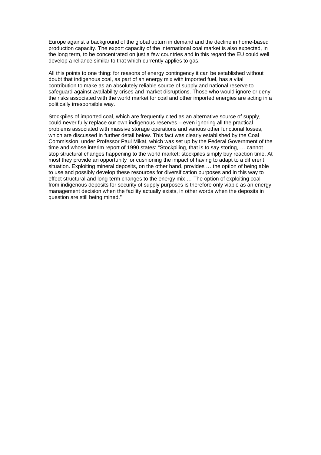Europe against a background of the global upturn in demand and the decline in home-based production capacity. The export capacity of the international coal market is also expected, in the long term, to be concentrated on just a few countries and in this regard the EU could well develop a reliance similar to that which currently applies to gas.

All this points to one thing: for reasons of energy contingency it can be established without doubt that indigenous coal, as part of an energy mix with imported fuel, has a vital contribution to make as an absolutely reliable source of supply and national reserve to safeguard against availability crises and market disruptions. Those who would ignore or deny the risks associated with the world market for coal and other imported energies are acting in a politically irresponsible way.

Stockpiles of imported coal, which are frequently cited as an alternative source of supply, could never fully replace our own indigenous reserves – even ignoring all the practical problems associated with massive storage operations and various other functional losses, which are discussed in further detail below. This fact was clearly established by the Coal Commission, under Professor Paul Mikat, which was set up by the Federal Government of the time and whose interim report of 1990 states: "Stockpiling, that is to say storing, … cannot stop structural changes happening to the world market: stockpiles simply buy reaction time. At most they provide an opportunity for cushioning the impact of having to adapt to a different situation. Exploiting mineral deposits, on the other hand, provides … the option of being able to use and possibly develop these resources for diversification purposes and in this way to effect structural and long-term changes to the energy mix … The option of exploiting coal from indigenous deposits for security of supply purposes is therefore only viable as an energy management decision when the facility actually exists, in other words when the deposits in question are still being mined."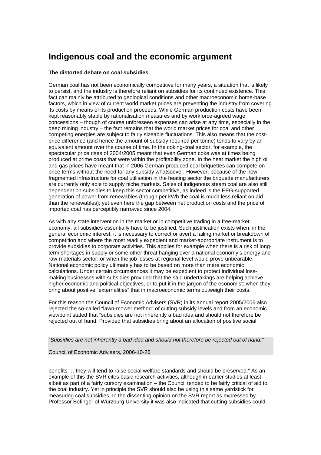### **Indigenous coal and the economic argument**

#### **The distorted debate on coal subsidies**

German coal has not been economically competitive for many years, a situation that is likely to persist, and the industry is therefore reliant on subsidies for its continued existence. This fact can mainly be attributed to geological conditions and other macroeconomic home-base factors, which in view of current world market prices are preventing the industry from covering its costs by means of its production proceeds. While German production costs have been kept reasonably stable by rationalisation measures and by workforce-agreed wage concessions – though of course unforeseen expenses can arise at any time, especially in the deep mining industry – the fact remains that the world market prices for coal and other competing energies are subject to fairly sizeable fluctuations. This also means that the costprice difference (and hence the amount of subsidy required per tonne) tends to vary by an equivalent amount over the course of time. In the coking-coal sector, for example, the spectacular price rises of 2004/2005 meant that even German coke was at times being produced at prime costs that were within the profitability zone. In the heat market the high oil and gas prices have meant that in 2006 German-produced coal briquettes can compete on price terms without the need for any subsidy whatsoever. However, because of the now fragmented infrastructure for coal utilisation in the heating sector the briquette manufacturers are currently only able to supply niche markets. Sales of indigenous steam coal are also still dependent on subsidies to keep this sector competitive, as indeed is the EEG-supported generation of power from renewables (though per kWh the coal is much less reliant on aid than the renewables); yet even here the gap between net production costs and the price of imported coal has perceptibly narrowed since 2004.

As with any state intervention in the market or in competitive trading in a free-market economy, all subsidies essentially have to be justified. Such justification exists when, in the general economic interest, it is necessary to correct or avert a failing market or breakdown of competition and where the most readily expedient and market-appropriate instrument is to provide subsidies to corporate activities. This applies for example when there is a risk of longterm shortages in supply or some other threat hanging over a national economy's energy and raw-materials sector, or when the job losses at regional level would prove unbearable. National economic policy ultimately has to be based on more than mere economic calculations. Under certain circumstances it may be expedient to protect individual lossmaking businesses with subsidies provided that the said undertakings are helping achieve higher economic and political objectives, or to put it in the jargon of the economist: when they bring about positive "externalities" that in macroeconomic terms outweigh their costs.

For this reason the Council of Economic Advisers (SVR) in its annual report 2005/2006 also rejected the so-called "lawn-mower method" of cutting subsidy levels and from an economic viewpoint stated that "subsidies are not inherently a bad idea and should not therefore be rejected out of hand. Provided that subsidies bring about an allocation of positive social

*"Subsidies are not inherently a bad idea and should not therefore be rejected out of hand."* 

Council of Economic Advisers, 2006-10-26

benefits … they will tend to raise social welfare standards and should be preserved." As an example of this the SVR cites basic research activities, although in earlier studies at least – albeit as part of a fairly cursory examination – the Council tended to be fairly critical of aid to the coal industry. Yet in principle the SVR should also be using this same yardstick for measuring coal subsidies. In the dissenting opinion on the SVR report as expressed by Professor Bofinger of Würzburg University it was also indicated that cutting subsidies could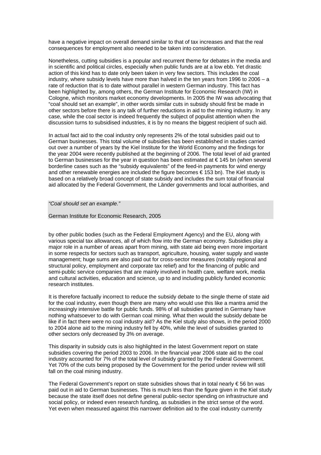have a negative impact on overall demand similar to that of tax increases and that the real consequences for employment also needed to be taken into consideration.

Nonetheless, cutting subsidies is a popular and recurrent theme for debates in the media and in scientific and political circles, especially when public funds are at a low ebb. Yet drastic action of this kind has to date only been taken in very few sectors. This includes the coal industry, where subsidy levels have more than halved in the ten years from 1996 to 2006 – a rate of reduction that is to date without parallel in western German industry. This fact has been highlighted by, among others, the German Institute for Economic Research (IW) in Cologne, which monitors market economy developments. In 2005 the IW was advocating that "coal should set an example", in other words similar cuts in subsidy should first be made in other sectors before there is any talk of further reductions in aid to the mining industry. In any case, while the coal sector is indeed frequently the subject of populist attention when the discussion turns to subsidised industries, it is by no means the biggest recipient of such aid.

In actual fact aid to the coal industry only represents 2% of the total subsidies paid out to German businesses. This total volume of subsidies has been established in studies carried out over a number of years by the Kiel Institute for the World Economy and the findings for the year 2004 were recently published at the beginning of 2006. The total level of aid granted to German businesses for the year in question has been estimated at  $\epsilon$  145 bn (when several borderline cases such as the "subsidy equivalents" of the feed-in payments for wind energy and other renewable energies are included the figure becomes € 153 bn). The Kiel study is based on a relatively broad concept of state subsidy and includes the sum total of financial aid allocated by the Federal Government, the Länder governments and local authorities, and

*"Coal should set an example."* 

German Institute for Economic Research, 2005

by other public bodies (such as the Federal Employment Agency) and the EU, along with various special tax allowances, all of which flow into the German economy. Subsidies play a major role in a number of areas apart from mining, with state aid being even more important in some respects for sectors such as transport, agriculture, housing, water supply and waste management; huge sums are also paid out for cross-sector measures (notably regional and structural policy, employment and corporate tax relief) and for the financing of public and semi-public service companies that are mainly involved in health care, welfare work, media and cultural activities, education and science, up to and including publicly funded economic research institutes.

It is therefore factually incorrect to reduce the subsidy debate to the single theme of state aid for the coal industry, even though there are many who would use this like a mantra amid the increasingly intensive battle for public funds. 98% of all subsidies granted in Germany have nothing whatsoever to do with German coal mining. What then would the subsidy debate be like if in fact there were no coal industry aid? As the Kiel study also shows, in the period 2000 to 2004 alone aid to the mining industry fell by 40%, while the level of subsidies granted to other sectors only decreased by 3% on average.

This disparity in subsidy cuts is also highlighted in the latest Government report on state subsidies covering the period 2003 to 2006. In the financial year 2006 state aid to the coal industry accounted for 7% of the total level of subsidy granted by the Federal Government. Yet 70% of the cuts being proposed by the Government for the period under review will still fall on the coal mining industry.

The Federal Government's report on state subsidies shows that in total nearly  $\epsilon$  56 bn was paid out in aid to German businesses. This is much less than the figure given in the Kiel study because the state itself does not define general public-sector spending on infrastructure and social policy, or indeed even research funding, as subsidies in the strict sense of the word. Yet even when measured against this narrower definition aid to the coal industry currently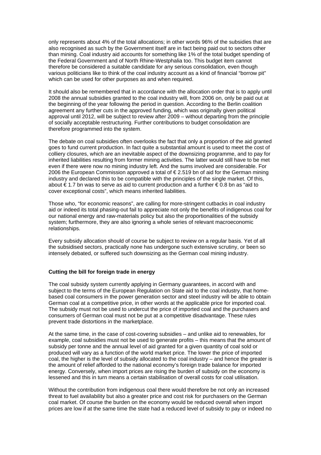only represents about 4% of the total allocations; in other words 96% of the subsidies that are also recognised as such by the Government itself are in fact being paid out to sectors other than mining. Coal industry aid accounts for something like 1% of the total budget spending of the Federal Government and of North Rhine-Westphalia too. This budget item cannot therefore be considered a suitable candidate for any serious consolidation, even though various politicians like to think of the coal industry account as a kind of financial "borrow pit" which can be used for other purposes as and when required.

It should also be remembered that in accordance with the allocation order that is to apply until 2008 the annual subsidies granted to the coal industry will, from 2006 on, only be paid out at the beginning of the year following the period in question. According to the Berlin coalition agreement any further cuts in the approved funding, which was originally given political approval until 2012, will be subject to review after 2009 – without departing from the principle of socially acceptable restructuring. Further contributions to budget consolidation are therefore programmed into the system.

The debate on coal subsidies often overlooks the fact that only a proportion of the aid granted goes to fund current production. In fact quite a substantial amount is used to meet the cost of colliery closures, which are an inevitable aspect of the downsizing programme, and to pay for inherited liabilities resulting from former mining activities. The latter would still have to be met even if there were now no mining industry left. And the sums involved are considerable. For 2006 the European Commission approved a total of  $\epsilon$  2.519 bn of aid for the German mining industry and declared this to be compatible with the principles of the single market. Of this, about € 1.7 bn was to serve as aid to current production and a further € 0.8 bn as "aid to cover exceptional costs", which means inherited liabilities.

Those who, "for economic reasons", are calling for more-stringent cutbacks in coal industry aid or indeed its total phasing-out fail to appreciate not only the benefits of indigenous coal for our national energy and raw-materials policy but also the proportionalities of the subsidy system; furthermore, they are also ignoring a whole series of relevant macroeconomic relationships.

Every subsidy allocation should of course be subject to review on a regular basis. Yet of all the subsidised sectors, practically none has undergone such extensive scrutiny, or been so intensely debated, or suffered such downsizing as the German coal mining industry.

#### **Cutting the bill for foreign trade in energy**

The coal subsidy system currently applying in Germany guarantees, in accord with and subject to the terms of the European Regulation on State aid to the coal industry, that homebased coal consumers in the power generation sector and steel industry will be able to obtain German coal at a competitive price, in other words at the applicable price for imported coal. The subsidy must not be used to undercut the price of imported coal and the purchasers and consumers of German coal must not be put at a competitive disadvantage. These rules prevent trade distortions in the marketplace.

At the same time, in the case of cost-covering subsidies – and unlike aid to renewables, for example, coal subsidies must not be used to generate profits – this means that the amount of subsidy per tonne and the annual level of aid granted for a given quantity of coal sold or produced will vary as a function of the world market price. The lower the price of imported coal, the higher is the level of subsidy allocated to the coal industry – and hence the greater is the amount of relief afforded to the national economy's foreign trade balance for imported energy. Conversely, when import prices are rising the burden of subsidy on the economy is lessened and this in turn means a certain stabilisation of overall costs for coal utilisation.

Without the contribution from indigenous coal there would therefore be not only an increased threat to fuel availability but also a greater price and cost risk for purchasers on the German coal market. Of course the burden on the economy would be reduced overall when import prices are low if at the same time the state had a reduced level of subsidy to pay or indeed no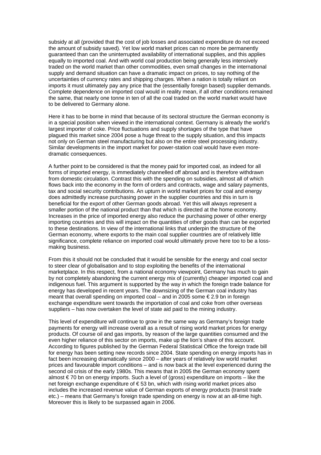subsidy at all (provided that the cost of job losses and associated expenditure do not exceed the amount of subsidy saved). Yet low world market prices can no more be permanently guaranteed than can the uninterrupted availability of international supplies, and this applies equally to imported coal. And with world coal production being generally less intensively traded on the world market than other commodities, even small changes in the international supply and demand situation can have a dramatic impact on prices, to say nothing of the uncertainties of currency rates and shipping charges. When a nation is totally reliant on imports it must ultimately pay any price that the (essentially foreign based) supplier demands. Complete dependence on imported coal would in reality mean, if all other conditions remained the same, that nearly one tonne in ten of all the coal traded on the world market would have to be delivered to Germany alone.

Here it has to be borne in mind that because of its sectoral structure the German economy is in a special position when viewed in the international context. Germany is already the world's largest importer of coke. Price fluctuations and supply shortages of the type that have plagued this market since 2004 pose a huge threat to the supply situation, and this impacts not only on German steel manufacturing but also on the entire steel processing industry. Similar developments in the import market for power-station coal would have even moredramatic consequences.

A further point to be considered is that the money paid for imported coal, as indeed for all forms of imported energy, is immediately channelled off abroad and is therefore withdrawn from domestic circulation. Contrast this with the spending on subsidies, almost all of which flows back into the economy in the form of orders and contracts, wage and salary payments, tax and social security contributions. An upturn in world market prices for coal and energy does admittedly increase purchasing power in the supplier countries and this in turn is beneficial for the export of other German goods abroad. Yet this will always represent a smaller portion of the national product than that which is directed at the home economy. Increases in the price of imported energy also reduce the purchasing power of other energy importing countries and this will impact on the quantities of other goods than can be exported to these destinations. In view of the international links that underpin the structure of the German economy, where exports to the main coal supplier countries are of relatively little significance, complete reliance on imported coal would ultimately prove here too to be a lossmaking business.

From this it should not be concluded that it would be sensible for the energy and coal sector to steer clear of globalisation and to stop exploiting the benefits of the international marketplace. In this respect, from a national economy viewpoint, Germany has much to gain by not completely abandoning the current energy mix of (currently) cheaper imported coal and indigenous fuel. This argument is supported by the way in which the foreign trade balance for energy has developed in recent years. The downsizing of the German coal industry has meant that overall spending on imported coal – and in 2005 some € 2.9 bn in foreign exchange expenditure went towards the importation of coal and coke from other overseas suppliers – has now overtaken the level of state aid paid to the mining industry.

This level of expenditure will continue to grow in the same way as Germany's foreign trade payments for energy will increase overall as a result of rising world market prices for energy products. Of course oil and gas imports, by reason of the large quantities consumed and the even higher reliance of this sector on imports, make up the lion's share of this account. According to figures published by the German Federal Statistical Office the foreign trade bill for energy has been setting new records since 2004. State spending on energy imports has in fact been increasing dramatically since 2000 – after years of relatively low world market prices and favourable import conditions – and is now back at the level experienced during the second oil crisis of the early 1980s. This means that in 2005 the German economy spent almost € 70 bn on energy imports. Such a level of (gross) expenditure on imports – like the net foreign exchange expenditure of € 53 bn, which with rising world market prices also includes the increased revenue value of German exports of energy products (transit trade etc.) – means that Germany's foreign trade spending on energy is now at an all-time high. Moreover this is likely to be surpassed again in 2006.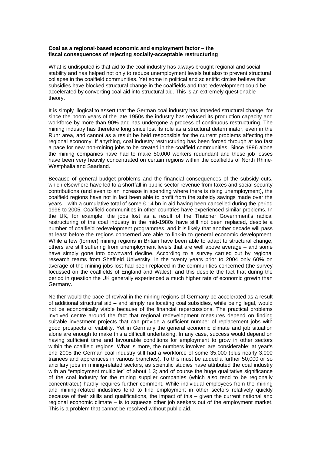#### **Coal as a regional-based economic and employment factor – the fiscal consequences of rejecting socially-acceptable restructuring**

What is undisputed is that aid to the coal industry has always brought regional and social stability and has helped not only to reduce unemployment levels but also to prevent structural collapse in the coalfield communities. Yet some in political and scientific circles believe that subsidies have blocked structural change in the coalfields and that redevelopment could be accelerated by converting coal aid into structural aid. This is an extremely questionable theory.

It is simply illogical to assert that the German coal industry has impeded structural change, for since the boom years of the late 1950s the industry has reduced its production capacity and workforce by more than 90% and has undergone a process of continuous restructuring. The mining industry has therefore long since lost its role as a structural determinator, even in the Ruhr area, and cannot as a result be held responsible for the current problems affecting the regional economy. If anything, coal industry restructuring has been forced through at too fast a pace for new non-mining jobs to be created in the coalfield communities. Since 1996 alone the mining companies have had to make 50,000 workers redundant and these job losses have been very heavily concentrated on certain regions within the coalfields of North Rhine-Westphalia and Saarland.

Because of general budget problems and the financial consequences of the subsidy cuts, which elsewhere have led to a shortfall in public-sector revenue from taxes and social security contributions (and even to an increase in spending where there is rising unemployment), the coalfield regions have not in fact been able to profit from the subsidy savings made over the years – with a cumulative total of some € 14 bn in aid having been cancelled during the period 1996 to 2005. Coalfield communities in other countries have experienced similar problems. In the UK, for example, the jobs lost as a result of the Thatcher Government's radical restructuring of the coal industry in the mid-1980s have still not been replaced, despite a number of coalfield redevelopment programmes, and it is likely that another decade will pass at least before the regions concerned are able to link-in to general economic development. While a few (former) mining regions in Britain have been able to adapt to structural change, others are still suffering from unemployment levels that are well above average – and some have simply gone into downward decline. According to a survey carried out by regional research teams from Sheffield University, in the twenty years prior to 2004 only 60% on average of the mining jobs lost had been replaced in the communities concerned (the survey focussed on the coalfields of England and Wales); and this despite the fact that during the period in question the UK generally experienced a much higher rate of economic growth than Germany.

Neither would the pace of revival in the mining regions of Germany be accelerated as a result of additional structural aid – and simply reallocating coal subsidies, while being legal, would not be economically viable because of the financial repercussions. The practical problems involved centre around the fact that regional redevelopment measures depend on finding suitable investment projects that can provide a sufficient number of replacement jobs with good prospects of viability. Yet in Germany the general economic climate and job situation alone are enough to make this a difficult undertaking. In any case, success would depend on having sufficient time and favourable conditions for employment to grow in other sectors within the coalfield regions. What is more, the numbers involved are considerable: at year's end 2005 the German coal industry still had a workforce of some 35,000 (plus nearly 3,000 trainees and apprentices in various branches). To this must be added a further 50,000 or so ancillary jobs in mining-related sectors, as scientific studies have attributed the coal industry with an "employment multiplier" of about 1.3; and of course the huge qualitative significance of the coal industry for the mining supplier companies (which also tend to be regionally concentrated) hardly requires further comment. While individual employees from the mining and mining-related industries tend to find employment in other sectors relatively quickly because of their skills and qualifications, the impact of this – given the current national and regional economic climate – is to squeeze other job seekers out of the employment market. This is a problem that cannot be resolved without public aid.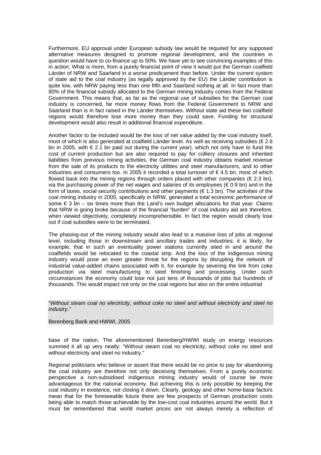Furthermore, EU approval under European subsidy law would be required for any supposed alternative measures designed to promote regional development, and the countries in question would have to co-finance up to 50%. We have yet to see convincing examples of this in action. What is more, from a purely financial point of view it would put the German coalfield Länder of NRW and Saarland in a worse predicament than before. Under the current system of state aid to the coal industry (as legally approved by the EU) the Länder contribution is quite low, with NRW paying less than one fifth and Saarland nothing at all. In fact more than 80% of the financial subsidy allocated to the German mining industry comes from the Federal Government. This means that, as far as the regional use of subsidies for the German coal industry is concerned, far more money flows from the Federal Government to NRW and Saarland than is in fact raised in the Länder themselves. Without state aid these two coalfield regions would therefore lose more money than they could save. Funding for structural development would also result in additional financial expenditure.

Another factor to be included would be the loss of net value added by the coal industry itself, most of which is also generated at coalfield Länder level. As well as receiving subsidies (€ 2.6 bn in 2005, with  $\epsilon$  2.1 bn paid out during the current year), which not only have to fund the cost of current production but are also required to pay for colliery closures and inherited liabilities from previous mining activities, the German coal industry obtains market revenue from the sale of its products to the electricity utilities and steel manufacturers, and to other industries and consumers too. In 2005 it recorded a total turnover of  $\epsilon$  4.5 bn, most of which flowed back into the mining regions through orders placed with other companies ( $\in$  2.3 bn), via the purchasing power of the net wages and salaries of its employees ( $\epsilon$  0.9 bn) and in the form of taxes, social security contributions and other payments ( $\epsilon$  1.3 bn). The activities of the coal mining industry in 2005, specifically in NRW, generated a total economic performance of some  $\epsilon$  3 bn – six times more than the Land's own budget allocations for that year. Claims that NRW is going broke because of the financial "burden" of coal industry aid are therefore, when viewed objectively, completely incomprehensible. In fact the region would clearly lose out if coal subsidies were to be terminated.

The phasing-out of the mining industry would also lead to a massive loss of jobs at regional level, including those in downstream and ancillary trades and industries; it is likely, for example, that in such an eventuality power stations currently sited in and around the coalfields would be relocated to the coastal strip. And the loss of the indigenous mining industry would pose an even greater threat for the regions by disrupting the network of industrial value-added chains associated with it, for example by severing the link from coke production via steel manufacturing to steel finishing and processing. Under such circumstances the economy could lose not just tens of thousands of jobs but hundreds of thousands. This would impact not only on the coal regions but also on the entire industrial

*"Without steam coal no electricity, without coke no steel and without electricity and steel no industry."* 

#### Berenberg Bank and HWWI, 2005

base of the nation. The aforementioned Berenberg/HWWI study on energy resources summed it all up very neatly: "Without steam coal no electricity, without coke no steel and without electricity and steel no industry."

Regional politicians who believe or assert that there would be no price to pay for abandoning the coal industry are therefore not only deceiving themselves. From a purely economic perspective a non-subsidised indigenous mining industry would of course be more advantageous for the national economy. But achieving this is only possible by keeping the coal industry in existence, not closing it down. Clearly, geology and other home-base factors mean that for the foreseeable future there are few prospects of German production costs being able to match those achievable by the low-cost coal industries around the world. But it must be remembered that world market prices are not always merely a reflection of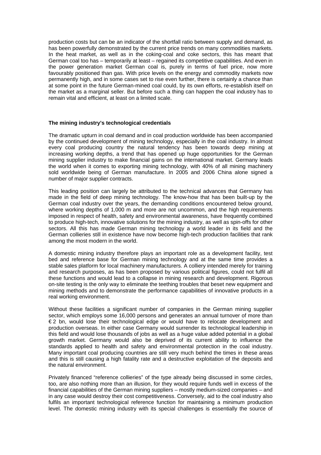production costs but can be an indicator of the shortfall ratio between supply and demand, as has been powerfully demonstrated by the current price trends on many commodities markets. In the heat market, as well as in the coking-coal and coke sectors, this has meant that German coal too has – temporarily at least – regained its competitive capabilities. And even in the power generation market German coal is, purely in terms of fuel price, now more favourably positioned than gas. With price levels on the energy and commodity markets now permanently high, and in some cases set to rise even further, there is certainly a chance than at some point in the future German-mined coal could, by its own efforts, re-establish itself on the market as a marginal seller. But before such a thing can happen the coal industry has to remain vital and efficient, at least on a limited scale.

#### **The mining industry's technological credentials**

The dramatic upturn in coal demand and in coal production worldwide has been accompanied by the continued development of mining technology, especially in the coal industry. In almost every coal producing country the natural tendency has been towards deep mining at increasing working depths, a trend that has opened up huge opportunities for the German mining supplier industry to make financial gains on the international market. Germany leads the world when it comes to exporting mining technology, with 40% of all mining machinery sold worldwide being of German manufacture. In 2005 and 2006 China alone signed a number of major supplier contracts.

This leading position can largely be attributed to the technical advances that Germany has made in the field of deep mining technology. The know-how that has been built-up by the German coal industry over the years, the demanding conditions encountered below ground, where working depths of 1,000 m and more are not uncommon, and the high requirements imposed in respect of health, safety and environmental awareness, have frequently combined to produce high-tech, innovative solutions for the mining industry, as well as spin-offs for other sectors. All this has made German mining technology a world leader in its field and the German collieries still in existence have now become high-tech production facilities that rank among the most modern in the world.

A domestic mining industry therefore plays an important role as a development facility, test bed and reference base for German mining technology and at the same time provides a stable sales platform for local machinery manufacturers. A colliery intended merely for training and research purposes, as has been proposed by various political figures, could not fulfil all these functions and would lead to a collapse in mining research and development. Rigorous on-site testing is the only way to eliminate the teething troubles that beset new equipment and mining methods and to demonstrate the performance capabilities of innovative products in a real working environment.

Without these facilities a significant number of companies in the German mining supplier sector, which employs some 16,000 persons and generates an annual turnover of more than € 2 bn, would lose their technological edge or would have to relocate development and production overseas. In either case Germany would surrender its technological leadership in this field and would lose thousands of jobs as well as a huge value added potential in a global growth market. Germany would also be deprived of its current ability to influence the standards applied to health and safety and environmental protection in the coal industry. Many important coal producing countries are still very much behind the times in these areas and this is still causing a high fatality rate and a destructive exploitation of the deposits and the natural environment.

Privately financed "reference collieries" of the type already being discussed in some circles, too, are also nothing more than an illusion, for they would require funds well in excess of the financial capabilities of the German mining suppliers – mostly medium-sized companies – and in any case would destroy their cost competitiveness. Conversely, aid to the coal industry also fulfils an important technological reference function for maintaining a minimum production level. The domestic mining industry with its special challenges is essentially the source of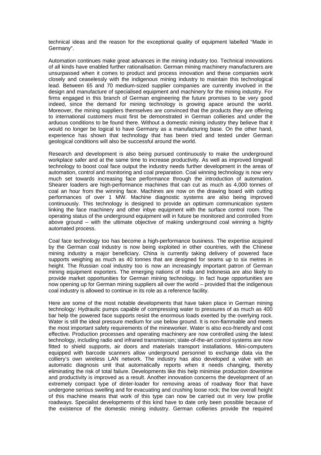technical ideas and the reason for the exceptional quality of equipment labelled "Made in Germany".

Automation continues make great advances in the mining industry too. Technical innovations of all kinds have enabled further rationalisation. German mining machinery manufacturers are unsurpassed when it comes to product and process innovation and these companies work closely and ceaselessly with the indigenous mining industry to maintain this technological lead. Between 65 and 70 medium-sized supplier companies are currently involved in the design and manufacture of specialised equipment and machinery for the mining industry. For firms engaged in this branch of German engineering the future promises to be very good indeed, since the demand for mining technology is growing apace around the world. Moreover, the mining suppliers themselves are convinced that the products they are offering to international customers must first be demonstrated in German collieries and under the arduous conditions to be found there. Without a domestic mining industry they believe that it would no longer be logical to have Germany as a manufacturing base. On the other hand, experience has shown that technology that has been tried and tested under German geological conditions will also be successful around the world.

Research and development is also being pursued continuously to make the underground workplace safer and at the same time to increase productivity. As well as improved longwall technology to boost coal face output the industry needs further development in the areas of automation, control and monitoring and coal preparation. Coal winning technology is now very much set towards increasing face performance through the introduction of automation. Shearer loaders are high-performance machines that can cut as much as 4,000 tonnes of coal an hour from the winning face. Machines are now on the drawing board with cutting performances of over 1 MW. Machine diagnostic systems are also being improved continuously. This technology is designed to provide an optimum communication system linking the face machinery and other inbye equipment with the surface control room. The operating status of the underground equipment will in future be monitored and controlled from above ground – with the ultimate objective of making underground coal winning a highly automated process.

Coal face technology too has become a high-performance business. The expertise acquired by the German coal industry is now being exploited in other countries, with the Chinese mining industry a major beneficiary. China is currently taking delivery of powered face supports weighing as much as 40 tonnes that are designed for seams up to six metres in height. The Russian coal industry too is now an increasingly important patron of German mining equipment exporters. The emerging nations of India and Indonesia are also likely to provide market opportunities for German mining technology. In fact huge opportunities are now opening up for German mining suppliers all over the world – provided that the indigenous coal industry is allowed to continue in its role as a reference facility.

Here are some of the most notable developments that have taken place in German mining technology: Hydraulic pumps capable of compressing water to pressures of as much as 400 bar help the powered face supports resist the enormous loads exerted by the overlying rock. Water is still the ideal pressure medium for use below ground. It is non-flammable and meets the most important safety requirements of the mineworker. Water is also eco-friendly and cost effective. Production processes and operating machinery are now controlled using the latest technology, including radio and infrared transmission; state-of-the-art control systems are now fitted to shield supports, air doors and materials transport installations. Mini-computers equipped with barcode scanners allow underground personnel to exchange data via the colliery's own wireless LAN network. The industry has also developed a valve with an automatic diagnosis unit that automatically reports when it needs changing, thereby eliminating the risk of total failure. Developments like this help minimise production downtime and productivity is improved as a result. Another innovation concerns the development of an extremely compact type of dinter-loader for removing areas of roadway floor that have undergone serious swelling and for evacuating and crushing loose rock; the low overall height of this machine means that work of this type can now be carried out in very low profile roadways. Specialist developments of this kind have to date only been possible because of the existence of the domestic mining industry. German collieries provide the required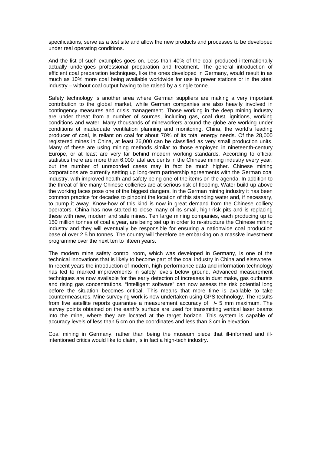specifications, serve as a test site and allow the new products and processes to be developed under real operating conditions.

And the list of such examples goes on. Less than 40% of the coal produced internationally actually undergoes professional preparation and treatment. The general introduction of efficient coal preparation techniques, like the ones developed in Germany, would result in as much as 10% more coal being available worldwide for use in power stations or in the steel industry – without coal output having to be raised by a single tonne.

Safety technology is another area where German suppliers are making a very important contribution to the global market, while German companies are also heavily involved in contingency measures and crisis management. Those working in the deep mining industry are under threat from a number of sources, including gas, coal dust, ignitions, working conditions and water. Many thousands of mineworkers around the globe are working under conditions of inadequate ventilation planning and monitoring. China, the world's leading producer of coal, is reliant on coal for about 70% of its total energy needs. Of the 28,000 registered mines in China, at least 26,000 can be classified as very small production units. Many of these are using mining methods similar to those employed in nineteenth-century Europe, or at least are very far behind modern working standards. According to official statistics there are more than 6,000 fatal accidents in the Chinese mining industry every year, but the number of unrecorded cases may in fact be much higher. Chinese mining corporations are currently setting up long-term partnership agreements with the German coal industry, with improved health and safety being one of the items on the agenda. In addition to the threat of fire many Chinese collieries are at serious risk of flooding. Water build-up above the working faces pose one of the biggest dangers. In the German mining industry it has been common practice for decades to pinpoint the location of this standing water and, if necessary, to pump it away. Know-how of this kind is now in great demand from the Chinese colliery operators. China has now started to close many of its small, high-risk pits and is replacing these with new, modern and safe mines. Ten large mining companies, each producing up to 150 million tonnes of coal a year, are being set up in order to re-structure the Chinese mining industry and they will eventually be responsible for ensuring a nationwide coal production base of over 2.5 bn tonnes. The country will therefore be embarking on a massive investment programme over the next ten to fifteen years.

The modern mine safety control room, which was developed in Germany, is one of the technical innovations that is likely to become part of the coal industry in China and elsewhere. In recent years the introduction of modern, high-performance data and information technology has led to marked improvements in safety levels below ground. Advanced measurement techniques are now available for the early detection of increases in dust make, gas outbursts and rising gas concentrations. "Intelligent software" can now assess the risk potential long before the situation becomes critical. This means that more time is available to take countermeasures. Mine surveying work is now undertaken using GPS technology. The results from five satellite reports guarantee a measurement accuracy of +/- 5 mm maximum. The survey points obtained on the earth's surface are used for transmitting vertical laser beams into the mine, where they are located at the target horizon. This system is capable of accuracy levels of less than 5 cm on the coordinates and less than 3 cm in elevation.

Coal mining in Germany, rather than being the museum piece that ill-informed and illintentioned critics would like to claim, is in fact a high-tech industry.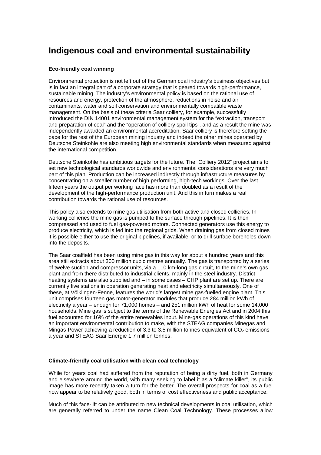## **Indigenous coal and environmental sustainability**

#### **Eco-friendly coal winning**

Environmental protection is not left out of the German coal industry's business objectives but is in fact an integral part of a corporate strategy that is geared towards high-performance, sustainable mining. The industry's environmental policy is based on the rational use of resources and energy, protection of the atmosphere, reductions in noise and air contaminants, water and soil conservation and environmentally compatible waste management. On the basis of these criteria Saar colliery, for example, successfully introduced the DIN 14001 environmental management system for the "extraction, transport and preparation of coal" and the "operation of colliery spoil tips", and as a result the mine was independently awarded an environmental accreditation. Saar colliery is therefore setting the pace for the rest of the European mining industry and indeed the other mines operated by Deutsche Steinkohle are also meeting high environmental standards when measured against the international competition.

Deutsche Steinkohle has ambitious targets for the future. The "Colliery 2012" project aims to set new technological standards worldwide and environmental considerations are very much part of this plan. Production can be increased indirectly through infrastructure measures by concentrating on a smaller number of high performing, high-tech workings. Over the last fifteen years the output per working face has more than doubled as a result of the development of the high-performance production unit. And this in turn makes a real contribution towards the rational use of resources.

This policy also extends to mine gas utilisation from both active and closed collieries. In working collieries the mine gas is pumped to the surface through pipelines. It is then compressed and used to fuel gas-powered motors. Connected generators use this energy to produce electricity, which is fed into the regional grids. When draining gas from closed mines it is possible either to use the original pipelines, if available, or to drill surface boreholes down into the deposits.

The Saar coalfield has been using mine gas in this way for about a hundred years and this area still extracts about 300 million cubic metres annually. The gas is transported by a series of twelve suction and compressor units, via a 110 km-long gas circuit, to the mine's own gas plant and from there distributed to industrial clients, mainly in the steel industry. District heating systems are also supplied and – in some cases – CHP plant are set up. There are currently five stations in operation generating heat and electricity simultaneously. One of these, at Völklingen-Fenne, features the world's largest mine gas-fuelled engine plant. This unit comprises fourteen gas motor-generator modules that produce 284 million kWh of electricity a year – enough for 71,000 homes – and 251 million kWh of heat for some 14,000 households. Mine gas is subject to the terms of the Renewable Energies Act and in 2004 this fuel accounted for 16% of the entire renewables input. Mine-gas operations of this kind have an important environmental contribution to make, with the STEAG companies Minegas and Mingas-Power achieving a reduction of 3.3 to 3.5 million tonnes-equivalent of  $CO<sub>2</sub>$  emissions a year and STEAG Saar Energie 1.7 million tonnes.

#### **Climate-friendly coal utilisation with clean coal technology**

While for years coal had suffered from the reputation of being a dirty fuel, both in Germany and elsewhere around the world, with many seeking to label it as a "climate killer", its public image has more recently taken a turn for the better. The overall prospects for coal as a fuel now appear to be relatively good, both in terms of cost effectiveness and public acceptance.

Much of this face-lift can be attributed to new technical developments in coal utilisation, which are generally referred to under the name Clean Coal Technology. These processes allow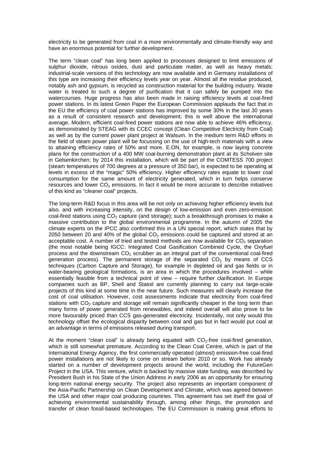electricity to be generated from coal in a more environmentally and climate-friendly way and have an enormous potential for further development.

The term "clean coal" has long been applied to processes designed to limit emissions of sulphur dioxide, nitrous oxides, dust and particulate matter, as well as heavy metals; industrial-scale versions of this technology are now available and in Germany installations of this type are increasing their efficiency levels year on year. Almost all the residue produced, notably ash and gypsum, is recycled as construction material for the building industry. Waste water is treated to such a degree of purification that it can safely be pumped into the watercourses. Huge progress has also been made in raising efficiency levels at coal-fired power stations. In its latest Green Paper the European Commission applauds the fact that in the EU the efficiency of coal power stations has improved by some 30% in the last 30 years as a result of consistent research and development; this is well above the international average. Modern, efficient coal-fired power stations are now able to achieve 46% efficiency, as demonstrated by STEAG with its CCEC concept (Clean Competitive Electricity from Coal) as well as by the current power plant project at Walsum. In the medium term R&D efforts in the field of steam power plant will be focussing on the use of high-tech materials with a view to attaining efficiency rates of 50% and more. E.ON, for example, is now laying concrete plans for the construction of a 400 MW coal-burning demonstration plant at its Scholven site in Gelsenkirchen; by 2014 this installation, which will be part of the COMTESS 700 project (steam temperatures of 700 degrees at a pressure of 350 bar), is expected to be operating at levels in excess of the "magic" 50% efficiency. Higher efficiency rates equate to lower coal consumption for the same amount of electricity generated, which in turn helps conserve resources and lower  $CO<sub>2</sub>$  emissions. In fact it would be more accurate to describe initiatives of this kind as "*cleaner* coal" projects.

The long-term R&D focus in this area will be not only on achieving higher efficiency levels but also, and with increasing intensity, on the design of low-emission and even zero-emission coal-fired stations using  $CO<sub>2</sub>$  capture (and storage); such a breakthrough promises to make a massive contribution to the global environmental programme. In the autumn of 2005 the climate experts on the IPCC also confirmed this in a UN special report, which states that by 2050 between 20 and 40% of the global  $CO<sub>2</sub>$  emissions could be captured and stored at an acceptable cost. A number of tried and tested methods are now available for  $CO<sub>2</sub>$  separation (the most notable being IGCC: Integrated Coal Gasification Combined Cycle, the Oxyfuel process and the downstream  $CO<sub>2</sub>$  scrubber as an integral part of the conventional coal-fired generation process). The permanent storage of the separated  $CO<sub>2</sub>$  by means of CCS techniques (Carbon Capture and Storage), for example in depleted oil and gas fields or in water-bearing geological formations, is an area in which the procedures involved – while essentially feasible from a technical point of view – require further clarification. In Europe companies such as BP, Shell and Statoil are currently planning to carry out large-scale projects of this kind at some time in the near future. Such measures will clearly increase the cost of coal utilisation. However, cost assessments indicate that electricity from coal-fired stations with  $CO<sub>2</sub>$  capture and storage will remain significantly cheaper in the long term than many forms of power generated from renewables, and indeed overall will also prove to be more favourably priced than CCS gas-generated electricity. Incidentally, not only would this technology offset the ecological disparity between coal and gas but in fact would put coal at an advantage in terms of emissions released during transport.

At the moment "clean coal" is already being equated with  $CO<sub>2</sub>$ -free coal-fired generation, which is still somewhat premature. According to the Clean Coal Centre, which is part of the International Energy Agency, the first commercially operated (almost) emission-free coal-fired power installations are not likely to come on stream before 2010 or so. Work has already started on a number of development projects around the world, including the FutureGen Project in the USA. This venture, which is backed by massive state funding, was described by President Bush in his State of the Union Address in early 2006 as an opportunity for ensuring long-term national energy security. The project also represents an important component of the Asia-Pacific Partnership on Clean Development and Climate, which was agreed between the USA and other major coal producing countries. This agreement has set itself the goal of achieving environmental sustainability through, among other things, the promotion and transfer of clean fossil-based technologies. The EU Commission is making great efforts to